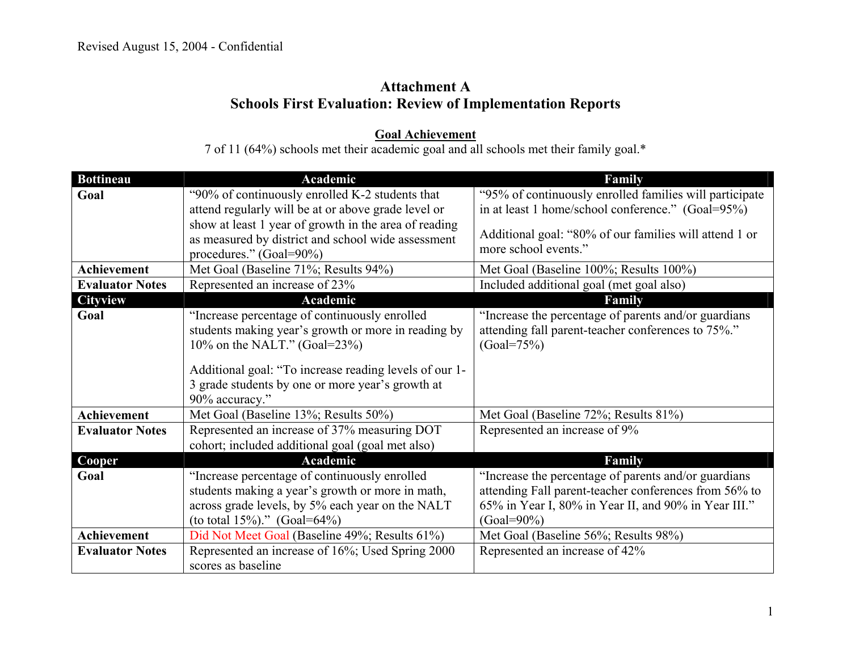## **Attachment A Schools First Evaluation: Review of Implementation Reports**

**Goal Achievement** 7 of 11 (64%) schools met their academic goal and all schools met their family goal.\*

| <b>Bottineau</b>       | Academic                                                                                                   | Family                                                  |
|------------------------|------------------------------------------------------------------------------------------------------------|---------------------------------------------------------|
| Goal                   | "90% of continuously enrolled K-2 students that                                                            | "95% of continuously enrolled families will participate |
|                        | attend regularly will be at or above grade level or                                                        | in at least 1 home/school conference." (Goal=95%)       |
|                        | show at least 1 year of growth in the area of reading                                                      |                                                         |
|                        | as measured by district and school wide assessment                                                         | Additional goal: "80% of our families will attend 1 or  |
|                        | procedures." (Goal=90%)                                                                                    | more school events."                                    |
| <b>Achievement</b>     | Met Goal (Baseline 71%; Results 94%)                                                                       | Met Goal (Baseline 100%; Results 100%)                  |
| <b>Evaluator Notes</b> | Represented an increase of 23%                                                                             | Included additional goal (met goal also)                |
| <b>Cityview</b>        | Academic                                                                                                   | Family                                                  |
| Goal                   | "Increase percentage of continuously enrolled                                                              | "Increase the percentage of parents and/or guardians    |
|                        | students making year's growth or more in reading by                                                        | attending fall parent-teacher conferences to 75%."      |
|                        | 10% on the NALT." (Goal= $23\%$ )                                                                          | $(Goal = 75\%)$                                         |
|                        |                                                                                                            |                                                         |
|                        | Additional goal: "To increase reading levels of our 1-<br>3 grade students by one or more year's growth at |                                                         |
|                        | 90% accuracy."                                                                                             |                                                         |
| <b>Achievement</b>     | Met Goal (Baseline 13%; Results 50%)                                                                       | Met Goal (Baseline 72%; Results 81%)                    |
| <b>Evaluator Notes</b> | Represented an increase of 37% measuring DOT                                                               | Represented an increase of 9%                           |
|                        | cohort; included additional goal (goal met also)                                                           |                                                         |
|                        | Academic                                                                                                   |                                                         |
| Cooper                 |                                                                                                            | Family                                                  |
| Goal                   | "Increase percentage of continuously enrolled                                                              | "Increase the percentage of parents and/or guardians    |
|                        | students making a year's growth or more in math,                                                           | attending Fall parent-teacher conferences from 56% to   |
|                        | across grade levels, by 5% each year on the NALT                                                           | 65% in Year I, 80% in Year II, and 90% in Year III."    |
|                        | (to total $15\%$ )." (Goal=64%)                                                                            | $(Goal = 90\%)$                                         |
| Achievement            | Did Not Meet Goal (Baseline 49%; Results 61%)                                                              | Met Goal (Baseline 56%; Results 98%)                    |
| <b>Evaluator Notes</b> | Represented an increase of 16%; Used Spring 2000                                                           | Represented an increase of 42%                          |
|                        | scores as baseline                                                                                         |                                                         |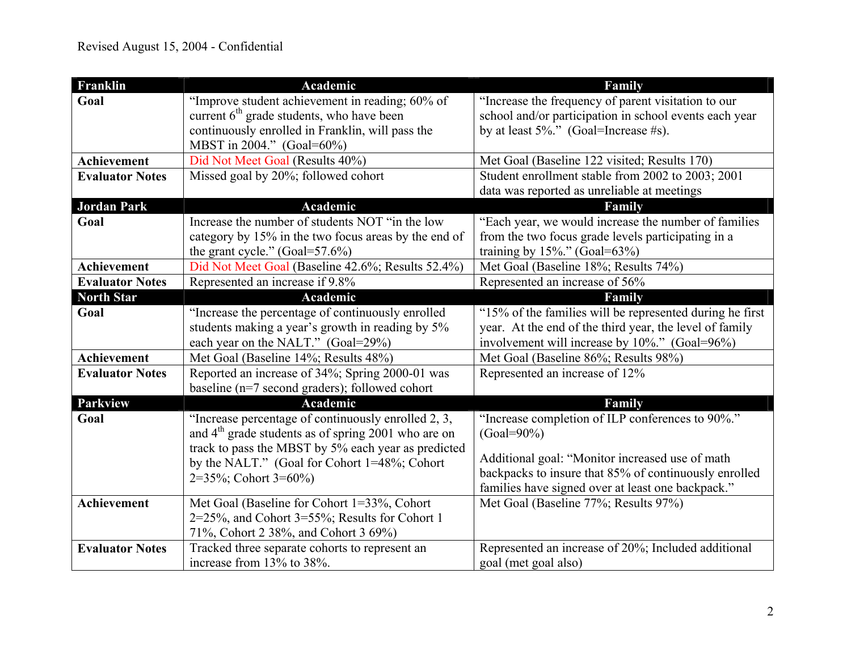| Franklin               | Academic                                                        | Family                                                   |
|------------------------|-----------------------------------------------------------------|----------------------------------------------------------|
| Goal                   | "Improve student achievement in reading; 60% of                 | "Increase the frequency of parent visitation to our      |
|                        | current $6th$ grade students, who have been                     | school and/or participation in school events each year   |
|                        | continuously enrolled in Franklin, will pass the                | by at least $5\%$ ." (Goal=Increase #s).                 |
|                        | MBST in 2004." (Goal=60%)                                       |                                                          |
| Achievement            | Did Not Meet Goal (Results 40%)                                 | Met Goal (Baseline 122 visited; Results 170)             |
| <b>Evaluator Notes</b> | Missed goal by 20%; followed cohort                             | Student enrollment stable from 2002 to 2003; 2001        |
|                        |                                                                 | data was reported as unreliable at meetings              |
| <b>Jordan Park</b>     | Academic                                                        | Family                                                   |
| Goal                   | Increase the number of students NOT "in the low                 | "Each year, we would increase the number of families     |
|                        | category by 15% in the two focus areas by the end of            | from the two focus grade levels participating in a       |
|                        | the grant cycle." $(Goal = 57.6%)$                              | training by $15\%$ ." (Goal=63%)                         |
| Achievement            | Did Not Meet Goal (Baseline 42.6%; Results 52.4%)               | Met Goal (Baseline 18%; Results 74%)                     |
| <b>Evaluator Notes</b> | Represented an increase if 9.8%                                 | Represented an increase of 56%                           |
| <b>North Star</b>      | Academic                                                        | Family                                                   |
| Goal                   | "Increase the percentage of continuously enrolled               | "15% of the families will be represented during he first |
|                        | students making a year's growth in reading by 5%                | year. At the end of the third year, the level of family  |
|                        | each year on the NALT." (Goal=29%)                              | involvement will increase by $10\%$ ." (Goal=96%)        |
| Achievement            | Met Goal (Baseline 14%; Results 48%)                            | Met Goal (Baseline 86%; Results 98%)                     |
| <b>Evaluator Notes</b> | Reported an increase of 34%; Spring 2000-01 was                 | Represented an increase of 12%                           |
|                        | baseline (n=7 second graders); followed cohort                  |                                                          |
| <b>Parkview</b>        | Academic                                                        | Family                                                   |
| Goal                   | "Increase percentage of continuously enrolled 2, 3,             | "Increase completion of ILP conferences to 90%."         |
|                        | and 4 <sup>th</sup> grade students as of spring 2001 who are on | $(Goal = 90\%)$                                          |
|                        | track to pass the MBST by 5% each year as predicted             | Additional goal: "Monitor increased use of math          |
|                        | by the NALT." (Goal for Cohort 1=48%; Cohort                    | backpacks to insure that 85% of continuously enrolled    |
|                        | $2=35\%$ ; Cohort 3=60%)                                        | families have signed over at least one backpack."        |
| <b>Achievement</b>     | Met Goal (Baseline for Cohort 1=33%, Cohort                     | Met Goal (Baseline 77%; Results 97%)                     |
|                        | 2=25%, and Cohort 3=55%; Results for Cohort 1                   |                                                          |
|                        | 71%, Cohort 2 38%, and Cohort 3 69%)                            |                                                          |
| <b>Evaluator Notes</b> | Tracked three separate cohorts to represent an                  | Represented an increase of 20%; Included additional      |
|                        | increase from 13% to 38%.                                       | goal (met goal also)                                     |